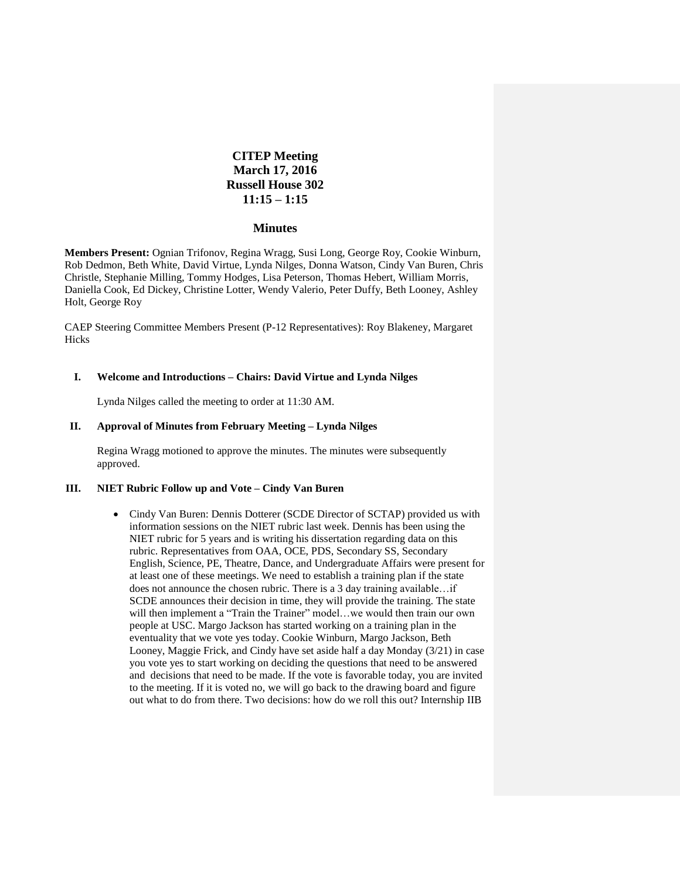# **CITEP Meeting March 17, 2016 Russell House 302 11:15 – 1:15**

#### **Minutes**

**Members Present:** Ognian Trifonov, Regina Wragg, Susi Long, George Roy, Cookie Winburn, Rob Dedmon, Beth White, David Virtue, Lynda Nilges, Donna Watson, Cindy Van Buren, Chris Christle, Stephanie Milling, Tommy Hodges, Lisa Peterson, Thomas Hebert, William Morris, Daniella Cook, Ed Dickey, Christine Lotter, Wendy Valerio, Peter Duffy, Beth Looney, Ashley Holt, George Roy

CAEP Steering Committee Members Present (P-12 Representatives): Roy Blakeney, Margaret Hicks

#### **I. Welcome and Introductions – Chairs: David Virtue and Lynda Nilges**

Lynda Nilges called the meeting to order at 11:30 AM.

## **II. Approval of Minutes from February Meeting – Lynda Nilges**

Regina Wragg motioned to approve the minutes. The minutes were subsequently approved.

## **III. NIET Rubric Follow up and Vote – Cindy Van Buren**

• Cindy Van Buren: Dennis Dotterer (SCDE Director of SCTAP) provided us with information sessions on the NIET rubric last week. Dennis has been using the NIET rubric for 5 years and is writing his dissertation regarding data on this rubric. Representatives from OAA, OCE, PDS, Secondary SS, Secondary English, Science, PE, Theatre, Dance, and Undergraduate Affairs were present for at least one of these meetings. We need to establish a training plan if the state does not announce the chosen rubric. There is a 3 day training available…if SCDE announces their decision in time, they will provide the training. The state will then implement a "Train the Trainer" model...we would then train our own people at USC. Margo Jackson has started working on a training plan in the eventuality that we vote yes today. Cookie Winburn, Margo Jackson, Beth Looney, Maggie Frick, and Cindy have set aside half a day Monday (3/21) in case you vote yes to start working on deciding the questions that need to be answered and decisions that need to be made. If the vote is favorable today, you are invited to the meeting. If it is voted no, we will go back to the drawing board and figure out what to do from there. Two decisions: how do we roll this out? Internship IIB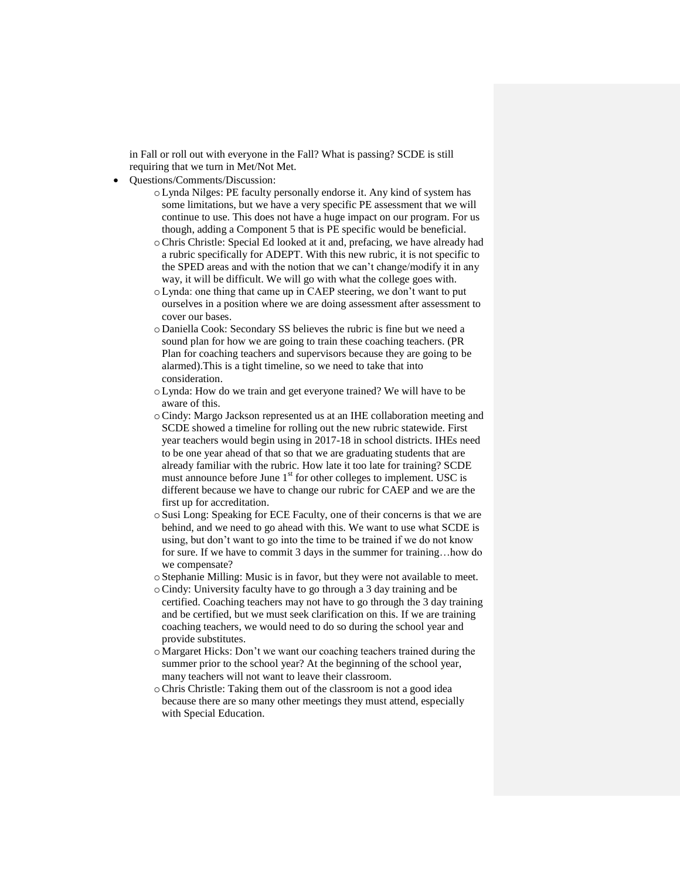in Fall or roll out with everyone in the Fall? What is passing? SCDE is still requiring that we turn in Met/Not Met.

- Questions/Comments/Discussion:
	- oLynda Nilges: PE faculty personally endorse it. Any kind of system has some limitations, but we have a very specific PE assessment that we will continue to use. This does not have a huge impact on our program. For us though, adding a Component 5 that is PE specific would be beneficial.
	- oChris Christle: Special Ed looked at it and, prefacing, we have already had a rubric specifically for ADEPT. With this new rubric, it is not specific to the SPED areas and with the notion that we can't change/modify it in any way, it will be difficult. We will go with what the college goes with.
	- oLynda: one thing that came up in CAEP steering, we don't want to put ourselves in a position where we are doing assessment after assessment to cover our bases.
	- o Daniella Cook: Secondary SS believes the rubric is fine but we need a sound plan for how we are going to train these coaching teachers. (PR Plan for coaching teachers and supervisors because they are going to be alarmed).This is a tight timeline, so we need to take that into consideration.
	- oLynda: How do we train and get everyone trained? We will have to be aware of this.
	- oCindy: Margo Jackson represented us at an IHE collaboration meeting and SCDE showed a timeline for rolling out the new rubric statewide. First year teachers would begin using in 2017-18 in school districts. IHEs need to be one year ahead of that so that we are graduating students that are already familiar with the rubric. How late it too late for training? SCDE must announce before June  $1<sup>st</sup>$  for other colleges to implement. USC is different because we have to change our rubric for CAEP and we are the first up for accreditation.
	- o Susi Long: Speaking for ECE Faculty, one of their concerns is that we are behind, and we need to go ahead with this. We want to use what SCDE is using, but don't want to go into the time to be trained if we do not know for sure. If we have to commit 3 days in the summer for training…how do we compensate?
	- o Stephanie Milling: Music is in favor, but they were not available to meet.
	- oCindy: University faculty have to go through a 3 day training and be certified. Coaching teachers may not have to go through the 3 day training and be certified, but we must seek clarification on this. If we are training coaching teachers, we would need to do so during the school year and provide substitutes.
	- o Margaret Hicks: Don't we want our coaching teachers trained during the summer prior to the school year? At the beginning of the school year, many teachers will not want to leave their classroom.
	- oChris Christle: Taking them out of the classroom is not a good idea because there are so many other meetings they must attend, especially with Special Education.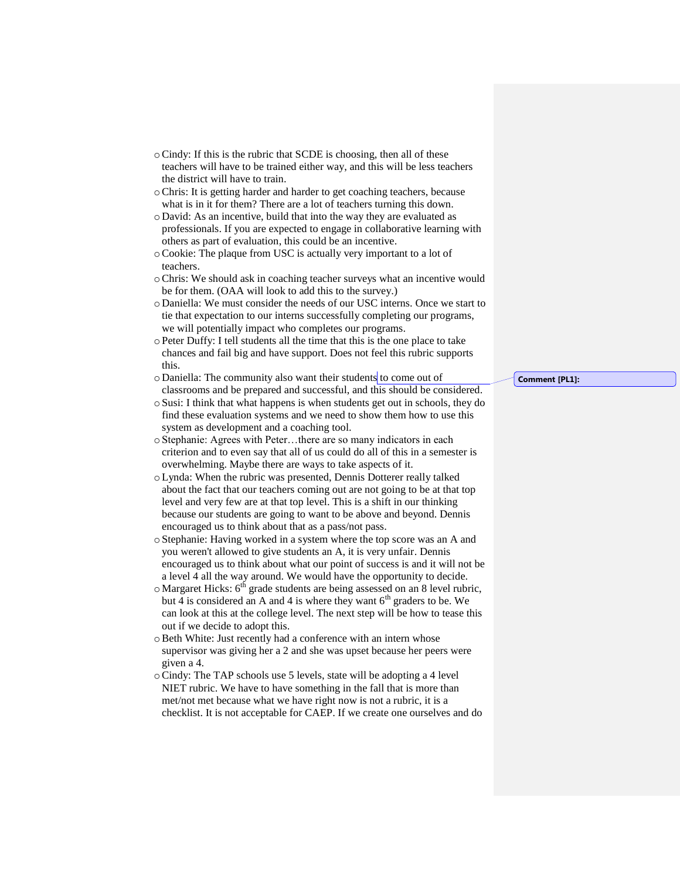- oCindy: If this is the rubric that SCDE is choosing, then all of these teachers will have to be trained either way, and this will be less teachers the district will have to train.
- oChris: It is getting harder and harder to get coaching teachers, because what is in it for them? There are a lot of teachers turning this down.
- o David: As an incentive, build that into the way they are evaluated as professionals. If you are expected to engage in collaborative learning with others as part of evaluation, this could be an incentive.
- oCookie: The plaque from USC is actually very important to a lot of teachers.
- oChris: We should ask in coaching teacher surveys what an incentive would be for them. (OAA will look to add this to the survey.)
- o Daniella: We must consider the needs of our USC interns. Once we start to tie that expectation to our interns successfully completing our programs, we will potentially impact who completes our programs.
- o Peter Duffy: I tell students all the time that this is the one place to take chances and fail big and have support. Does not feel this rubric supports this.
- o Daniella: The community also want their students to come out of classrooms and be prepared and successful, and this should be considered.
- o Susi: I think that what happens is when students get out in schools, they do find these evaluation systems and we need to show them how to use this system as development and a coaching tool.
- o Stephanie: Agrees with Peter…there are so many indicators in each criterion and to even say that all of us could do all of this in a semester is overwhelming. Maybe there are ways to take aspects of it.
- oLynda: When the rubric was presented, Dennis Dotterer really talked about the fact that our teachers coming out are not going to be at that top level and very few are at that top level. This is a shift in our thinking because our students are going to want to be above and beyond. Dennis encouraged us to think about that as a pass/not pass.
- o Stephanie: Having worked in a system where the top score was an A and you weren't allowed to give students an A, it is very unfair. Dennis encouraged us to think about what our point of success is and it will not be a level 4 all the way around. We would have the opportunity to decide.
- $\circ$  Margaret Hicks:  $6<sup>th</sup>$  grade students are being assessed on an 8 level rubric, but 4 is considered an A and 4 is where they want  $6<sup>th</sup>$  graders to be. We can look at this at the college level. The next step will be how to tease this out if we decide to adopt this.
- oBeth White: Just recently had a conference with an intern whose supervisor was giving her a 2 and she was upset because her peers were given a 4.
- oCindy: The TAP schools use 5 levels, state will be adopting a 4 level NIET rubric. We have to have something in the fall that is more than met/not met because what we have right now is not a rubric, it is a checklist. It is not acceptable for CAEP. If we create one ourselves and do

**Comment [PL1]:**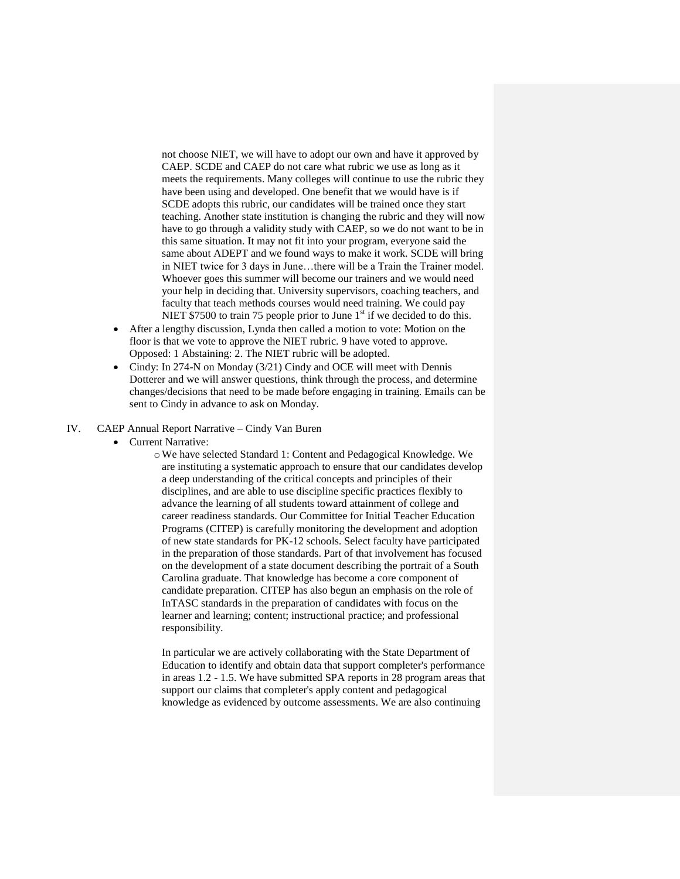not choose NIET, we will have to adopt our own and have it approved by CAEP. SCDE and CAEP do not care what rubric we use as long as it meets the requirements. Many colleges will continue to use the rubric they have been using and developed. One benefit that we would have is if SCDE adopts this rubric, our candidates will be trained once they start teaching. Another state institution is changing the rubric and they will now have to go through a validity study with CAEP, so we do not want to be in this same situation. It may not fit into your program, everyone said the same about ADEPT and we found ways to make it work. SCDE will bring in NIET twice for 3 days in June…there will be a Train the Trainer model. Whoever goes this summer will become our trainers and we would need your help in deciding that. University supervisors, coaching teachers, and faculty that teach methods courses would need training. We could pay NIET \$7500 to train 75 people prior to June  $1<sup>st</sup>$  if we decided to do this.

- After a lengthy discussion, Lynda then called a motion to vote: Motion on the floor is that we vote to approve the NIET rubric. 9 have voted to approve. Opposed: 1 Abstaining: 2. The NIET rubric will be adopted.
- Cindy: In 274-N on Monday (3/21) Cindy and OCE will meet with Dennis Dotterer and we will answer questions, think through the process, and determine changes/decisions that need to be made before engaging in training. Emails can be sent to Cindy in advance to ask on Monday.

#### IV. CAEP Annual Report Narrative – Cindy Van Buren

- Current Narrative:
	- oWe have selected Standard 1: Content and Pedagogical Knowledge. We are instituting a systematic approach to ensure that our candidates develop a deep understanding of the critical concepts and principles of their disciplines, and are able to use discipline specific practices flexibly to advance the learning of all students toward attainment of college and career readiness standards. Our Committee for Initial Teacher Education Programs (CITEP) is carefully monitoring the development and adoption of new state standards for PK-12 schools. Select faculty have participated in the preparation of those standards. Part of that involvement has focused on the development of a state document describing the portrait of a South Carolina graduate. That knowledge has become a core component of candidate preparation. CITEP has also begun an emphasis on the role of InTASC standards in the preparation of candidates with focus on the learner and learning; content; instructional practice; and professional responsibility.

In particular we are actively collaborating with the State Department of Education to identify and obtain data that support completer's performance in areas 1.2 - 1.5. We have submitted SPA reports in 28 program areas that support our claims that completer's apply content and pedagogical knowledge as evidenced by outcome assessments. We are also continuing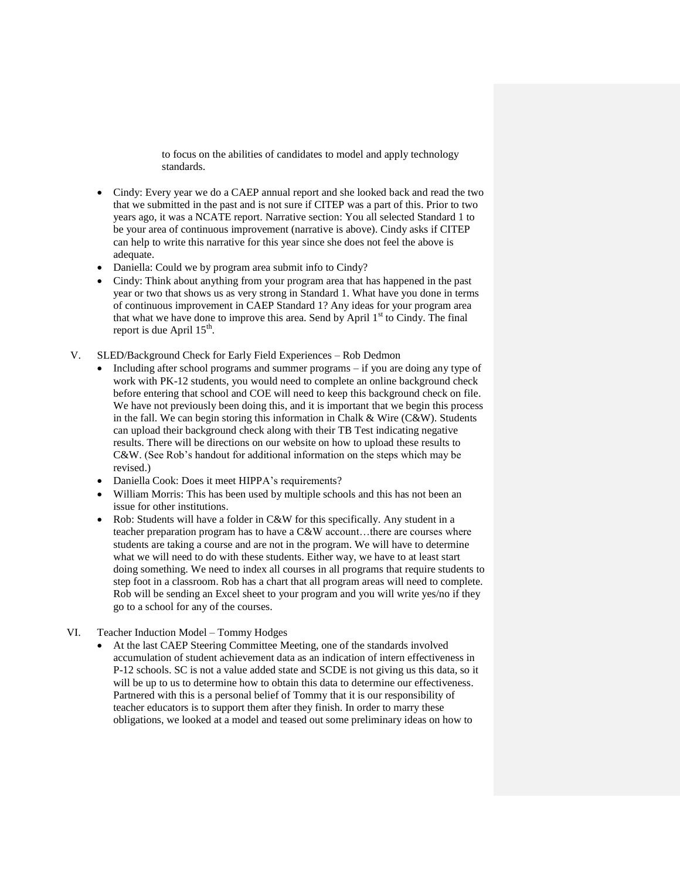to focus on the abilities of candidates to model and apply technology standards.

- Cindy: Every year we do a CAEP annual report and she looked back and read the two that we submitted in the past and is not sure if CITEP was a part of this. Prior to two years ago, it was a NCATE report. Narrative section: You all selected Standard 1 to be your area of continuous improvement (narrative is above). Cindy asks if CITEP can help to write this narrative for this year since she does not feel the above is adequate.
- Daniella: Could we by program area submit info to Cindy?
- Cindy: Think about anything from your program area that has happened in the past year or two that shows us as very strong in Standard 1. What have you done in terms of continuous improvement in CAEP Standard 1? Any ideas for your program area that what we have done to improve this area. Send by April  $1<sup>st</sup>$  to Cindy. The final report is due April  $15<sup>th</sup>$ .
- V. SLED/Background Check for Early Field Experiences Rob Dedmon
	- Including after school programs and summer programs if you are doing any type of work with PK-12 students, you would need to complete an online background check before entering that school and COE will need to keep this background check on file. We have not previously been doing this, and it is important that we begin this process in the fall. We can begin storing this information in Chalk & Wire (C&W). Students can upload their background check along with their TB Test indicating negative results. There will be directions on our website on how to upload these results to C&W. (See Rob's handout for additional information on the steps which may be revised.)
	- Daniella Cook: Does it meet HIPPA's requirements?
	- William Morris: This has been used by multiple schools and this has not been an issue for other institutions.
	- Rob: Students will have a folder in C&W for this specifically. Any student in a teacher preparation program has to have a C&W account...there are courses where students are taking a course and are not in the program. We will have to determine what we will need to do with these students. Either way, we have to at least start doing something. We need to index all courses in all programs that require students to step foot in a classroom. Rob has a chart that all program areas will need to complete. Rob will be sending an Excel sheet to your program and you will write yes/no if they go to a school for any of the courses.
- VI. Teacher Induction Model Tommy Hodges
	- At the last CAEP Steering Committee Meeting, one of the standards involved accumulation of student achievement data as an indication of intern effectiveness in P-12 schools. SC is not a value added state and SCDE is not giving us this data, so it will be up to us to determine how to obtain this data to determine our effectiveness. Partnered with this is a personal belief of Tommy that it is our responsibility of teacher educators is to support them after they finish. In order to marry these obligations, we looked at a model and teased out some preliminary ideas on how to